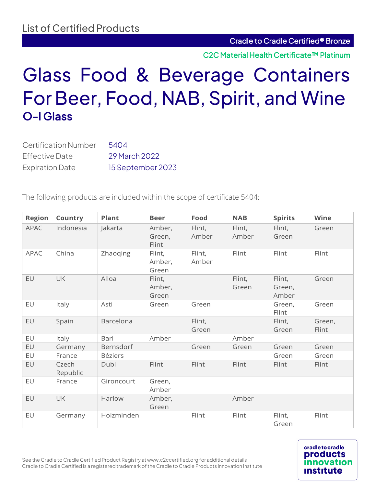**cradle to cradle** products

<u>institute</u>

C2C Material Health Certificate™ Platinum

# Glass Food & Beverage Containers For Beer, Food, NAB, Spirit, and Wine O-I Glass

| <b>Certification Number</b> | 5404              |
|-----------------------------|-------------------|
| Effective Date              | 29 March 2022     |
| <b>Expiration Date</b>      | 15 September 2023 |

The following products are included within the scope of certificate 5404:

| <b>Region</b> | Country           | <b>Plant</b>   | <b>Beer</b>               | Food            | <b>NAB</b>      | <b>Spirits</b>            | <b>Wine</b>     |
|---------------|-------------------|----------------|---------------------------|-----------------|-----------------|---------------------------|-----------------|
| <b>APAC</b>   | Indonesia         | Jakarta        | Amber,<br>Green,<br>Flint | Flint,<br>Amber | Flint,<br>Amber | Flint,<br>Green           | Green           |
| <b>APAC</b>   | China             | Zhaoqing       | Flint,<br>Amber,<br>Green | Flint,<br>Amber | Flint           | Flint                     | Flint           |
| EU            | <b>UK</b>         | Alloa          | Flint,<br>Amber,<br>Green |                 | Flint,<br>Green | Flint,<br>Green,<br>Amber | Green           |
| EU            | Italy             | Asti           | Green                     | Green           |                 | Green,<br>Flint           | Green           |
| EU            | Spain             | Barcelona      |                           | Flint,<br>Green |                 | Flint,<br>Green           | Green,<br>Flint |
| EU            | Italy             | Bari           | Amber                     |                 | Amber           |                           |                 |
| EU            | Germany           | Bernsdorf      |                           | Green           | Green           | Green                     | Green           |
| EU            | France            | <b>Béziers</b> |                           |                 |                 | Green                     | Green           |
| EU            | Czech<br>Republic | Dubi           | Flint                     | Flint           | Flint           | Flint                     | Flint           |
| EU            | France            | Gironcourt     | Green,<br>Amber           |                 |                 |                           |                 |
| EU            | <b>UK</b>         | Harlow         | Amber,<br>Green           |                 | Amber           |                           |                 |
| EU            | Germany           | Holzminden     |                           | Flint           | Flint           | Flint,<br>Green           | Flint           |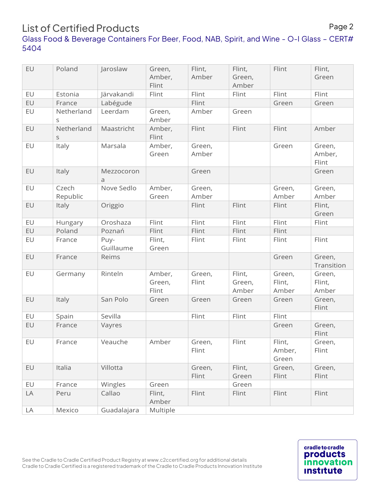### List of Certified Products

#### Glass Food & Beverage Containers For Beer, Food, NAB, Spirit, and Wine - O-I Glass – CERT# 5404

| EU | Poland                    | Jaroslaw          | Green,<br>Amber,<br>Flint | Flint,<br>Amber | Flint,<br>Green,<br>Amber | Flint                     | Flint,<br>Green           |
|----|---------------------------|-------------------|---------------------------|-----------------|---------------------------|---------------------------|---------------------------|
| EU | Estonia                   | Järvakandi        | Flint                     | Flint           | Flint                     | Flint                     | Flint                     |
| EU | France                    | Labégude          |                           | Flint           |                           | Green                     | Green                     |
| EU | Netherland<br>S           | Leerdam           | Green,<br>Amber           | Amber           | Green                     |                           |                           |
| EU | Netherland<br>$\mathsf S$ | Maastricht        | Amber,<br>Flint           | Flint           | Flint                     | Flint                     | Amber                     |
| EU | Italy                     | Marsala           | Amber,<br>Green           | Green,<br>Amber |                           | Green                     | Green,<br>Amber,<br>Flint |
| EU | Italy                     | Mezzocoron<br>a   |                           | Green           |                           |                           | Green                     |
| EU | Czech<br>Republic         | Nove Sedlo        | Amber,<br>Green           | Green,<br>Amber |                           | Green,<br>Amber           | Green,<br>Amber           |
| EU | Italy                     | Origgio           |                           | Flint           | Flint                     | Flint                     | Flint,<br>Green           |
| EU | Hungary                   | Oroshaza          | Flint                     | Flint           | Flint                     | Flint                     | Flint                     |
| EU | Poland                    | Poznań            | Flint                     | Flint           | Flint                     | Flint                     |                           |
| EU | France                    | Puy-<br>Guillaume | Flint,<br>Green           | Flint           | Flint                     | Flint                     | Flint                     |
| EU | France                    | Reims             |                           |                 |                           | Green                     | Green,<br>Transition      |
| EU | Germany                   | Rinteln           | Amber,<br>Green,<br>Flint | Green,<br>Flint | Flint,<br>Green,<br>Amber | Green,<br>Flint,<br>Amber | Green,<br>Flint,<br>Amber |
| EU | Italy                     | San Polo          | Green                     | Green           | Green                     | Green                     | Green,<br>Flint           |
| EU | Spain                     | Sevilla           |                           | Flint           | Flint                     | Flint                     |                           |
| EU | France                    | Vayres            |                           |                 |                           | Green                     | Green,<br>Flint           |
| EU | France                    | Veauche           | Amber                     | Green,<br>Flint | Flint                     | Flint,<br>Amber,<br>Green | Green,<br>Flint           |
| EU | Italia                    | Villotta          |                           | Green,<br>Flint | Flint,<br>Green           | Green,<br>Flint           | Green,<br>Flint           |
| EU | France                    | Wingles           | Green                     |                 | Green                     |                           |                           |
| LA | Peru                      | Callao            | Flint,<br>Amber           | Flint           | Flint                     | Flint                     | Flint                     |
| LA | Mexico                    | Guadalajara       | Multiple                  |                 |                           |                           |                           |